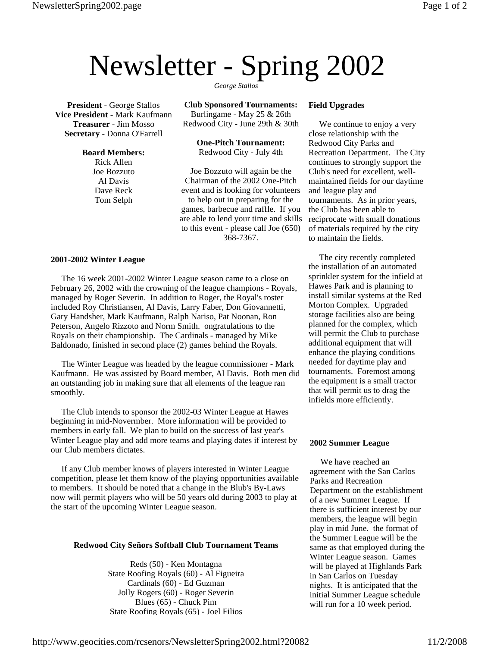# Newsletter - Spring 2002

**President** - George Stallos **Vice President** - Mark Kaufmann **Treasurer** - Jim Mosso **Secretary** - Donna O'Farrell

> **Board Members:** Rick Allen

Joe Bozzuto Al Davis Dave Reck Tom Selph

*George Stallos*

**Club Sponsored Tournaments:** Burlingame - May 25 & 26th Redwood City - June 29th & 30th

> **One-Pitch Tournament:** Redwood City - July 4th

Joe Bozzuto will again be the Chairman of the 2002 One-Pitch event and is looking for volunteers to help out in preparing for the games, barbecue and raffle. If you are able to lend your time and skills to this event - please call Joe (650) 368-7367.

# **2001-2002 Winter League**

 The 16 week 2001-2002 Winter League season came to a close on February 26, 2002 with the crowning of the league champions - Royals, managed by Roger Severin. In addition to Roger, the Royal's roster included Roy Christiansen, Al Davis, Larry Faber, Don Giovannetti, Gary Handsher, Mark Kaufmann, Ralph Nariso, Pat Noonan, Ron Peterson, Angelo Rizzoto and Norm Smith. ongratulations to the Royals on their championship. The Cardinals - managed by Mike Baldonado, finished in second place (2) games behind the Royals.

 The Winter League was headed by the league commissioner - Mark Kaufmann. He was assisted by Board member, Al Davis. Both men did an outstanding job in making sure that all elements of the league ran smoothly.

 The Club intends to sponsor the 2002-03 Winter League at Hawes beginning in mid-Novermber. More information will be provided to members in early fall. We plan to build on the success of last year's Winter League play and add more teams and playing dates if interest by our Club members dictates.

 If any Club member knows of players interested in Winter League competition, please let them know of the playing opportunities available to members. It should be noted that a change in the Blub's By-Laws now will permit players who will be 50 years old during 2003 to play at the start of the upcoming Winter League season.

## **Redwood City Señors Softball Club Tournament Teams**

Reds (50) - Ken Montagna State Roofing Royals (60) - Al Figueira Cardinals (60) - Ed Guzman Jolly Rogers (60) - Roger Severin Blues (65) - Chuck Pim State Roofing Royals (65) - Joel Filios

#### **Field Upgrades**

 We continue to enjoy a very close relationship with the Redwood City Parks and Recreation Department. The City continues to strongly support the Club's need for excellent, wellmaintained fields for our daytime and league play and tournaments. As in prior years, the Club has been able to reciprocate with small donations of materials required by the city to maintain the fields.

 The city recently completed the installation of an automated sprinkler system for the infield at Hawes Park and is planning to install similar systems at the Red Morton Complex. Upgraded storage facilities also are being planned for the complex, which will permit the Club to purchase additional equipment that will enhance the playing conditions needed for daytime play and tournaments. Foremost among the equipment is a small tractor that will permit us to drag the infields more efficiently.

## **2002 Summer League**

 We have reached an agreement with the San Carlos Parks and Recreation Department on the establishment of a new Summer League. If there is sufficient interest by our members, the league will begin play in mid June. the format of the Summer League will be the same as that employed during the Winter League season. Games will be played at Highlands Park in San Carlos on Tuesday nights. It is anticipated that the initial Summer League schedule will run for a 10 week period.